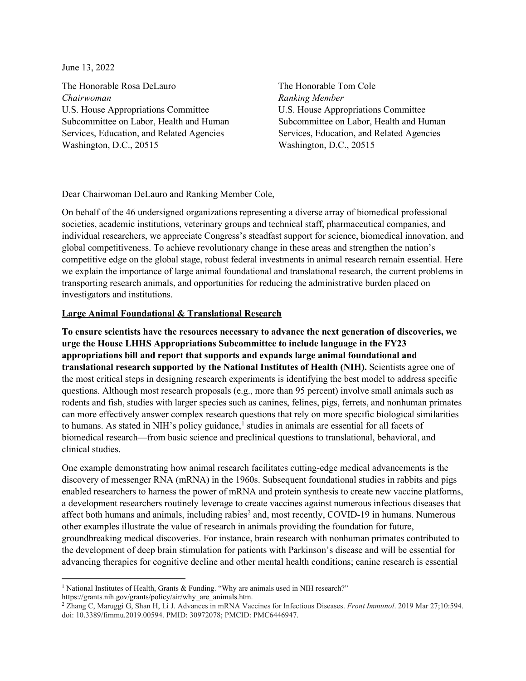June 13, 2022

The Honorable Rosa DeLauro *Chairwoman* U.S. House Appropriations Committee Subcommittee on Labor, Health and Human Services, Education, and Related Agencies Washington, D.C., 20515

The Honorable Tom Cole *Ranking Member* U.S. House Appropriations Committee Subcommittee on Labor, Health and Human Services, Education, and Related Agencies Washington, D.C., 20515

## Dear Chairwoman DeLauro and Ranking Member Cole,

On behalf of the 46 undersigned organizations representing a diverse array of biomedical professional societies, academic institutions, veterinary groups and technical staff, pharmaceutical companies, and individual researchers, we appreciate Congress's steadfast support for science, biomedical innovation, and global competitiveness. To achieve revolutionary change in these areas and strengthen the nation's competitive edge on the global stage, robust federal investments in animal research remain essential. Here we explain the importance of large animal foundational and translational research, the current problems in transporting research animals, and opportunities for reducing the administrative burden placed on investigators and institutions.

## **Large Animal Foundational & Translational Research**

**To ensure scientists have the resources necessary to advance the next generation of discoveries, we urge the House LHHS Appropriations Subcommittee to include language in the FY23 appropriations bill and report that supports and expands large animal foundational and translational research supported by the National Institutes of Health (NIH).** Scientists agree one of the most critical steps in designing research experiments is identifying the best model to address specific questions. Although most research proposals (e.g., more than 95 percent) involve small animals such as rodents and fish, studies with larger species such as canines, felines, pigs, ferrets, and nonhuman primates can more effectively answer complex research questions that rely on more specific biological similarities to humans. As stated in NIH's policy guidance,<sup>[1](#page-0-0)</sup> studies in animals are essential for all facets of biomedical research—from basic science and preclinical questions to translational, behavioral, and clinical studies.

One example demonstrating how animal research facilitates cutting-edge medical advancements is the discovery of messenger RNA (mRNA) in the 1960s. Subsequent foundational studies in rabbits and pigs enabled researchers to harness the power of mRNA and protein synthesis to create new vaccine platforms, a development researchers routinely leverage to create vaccines against numerous infectious diseases that affect both humans and animals, including rabies<sup>2</sup> and, most recently, COVID-19 in humans. Numerous other examples illustrate the value of research in animals providing the foundation for future, groundbreaking medical discoveries. For instance, brain research with nonhuman primates contributed to the development of deep brain stimulation for patients with Parkinson's disease and will be essential for advancing therapies for cognitive decline and other mental health conditions; canine research is essential

<span id="page-0-0"></span><sup>&</sup>lt;sup>1</sup> National Institutes of Health, Grants & Funding. "Why are animals used in NIH research?"

<span id="page-0-1"></span>https://grants.nih.gov/grants/policy/air/why\_are\_animals.htm.<br><sup>2</sup> Zhang C, Maruggi G, Shan H, Li J. Advances in mRNA Vaccines for Infectious Diseases. *Front Immunol*. 2019 Mar 27;10:594. doi: 10.3389/fimmu.2019.00594. PMID: 30972078; PMCID: PMC6446947.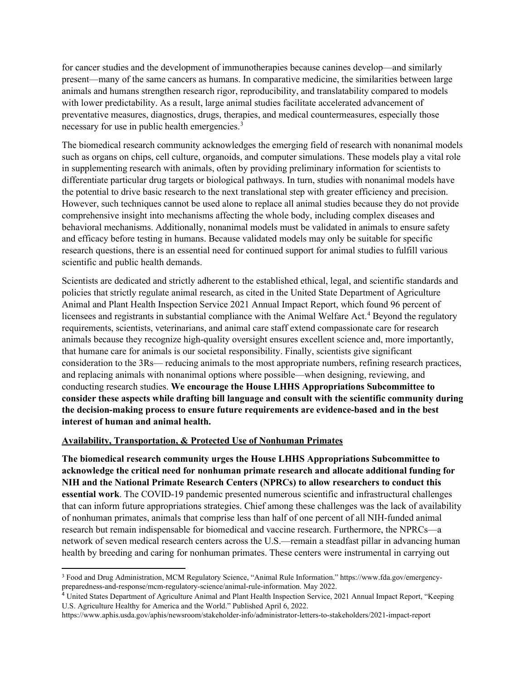for cancer studies and the development of immunotherapies because canines develop—and similarly present—many of the same cancers as humans. In comparative medicine, the similarities between large animals and humans strengthen research rigor, reproducibility, and translatability compared to models with lower predictability. As a result, large animal studies facilitate accelerated advancement of preventative measures, diagnostics, drugs, therapies, and medical countermeasures, especially those necessary for use in public health emergencies.<sup>[3](#page-1-0)</sup>

The biomedical research community acknowledges the emerging field of research with nonanimal models such as organs on chips, cell culture, organoids, and computer simulations. These models play a vital role in supplementing research with animals, often by providing preliminary information for scientists to differentiate particular drug targets or biological pathways. In turn, studies with nonanimal models have the potential to drive basic research to the next translational step with greater efficiency and precision. However, such techniques cannot be used alone to replace all animal studies because they do not provide comprehensive insight into mechanisms affecting the whole body, including complex diseases and behavioral mechanisms. Additionally, nonanimal models must be validated in animals to ensure safety and efficacy before testing in humans. Because validated models may only be suitable for specific research questions, there is an essential need for continued support for animal studies to fulfill various scientific and public health demands.

Scientists are dedicated and strictly adherent to the established ethical, legal, and scientific standards and policies that strictly regulate animal research, as cited in the United State Department of Agriculture Animal and Plant Health Inspection Service 2021 Annual Impact Report, which found 96 percent of licensees and registrants in substantial compliance with the Animal Welfare Act.<sup>[4](#page-1-1)</sup> Beyond the regulatory requirements, scientists, veterinarians, and animal care staff extend compassionate care for research animals because they recognize high-quality oversight ensures excellent science and, more importantly, that humane care for animals is our societal responsibility. Finally, scientists give significant consideration to the 3Rs— reducing animals to the most appropriate numbers, refining research practices, and replacing animals with nonanimal options where possible—when designing, reviewing, and conducting research studies. **We encourage the House LHHS Appropriations Subcommittee to consider these aspects while drafting bill language and consult with the scientific community during the decision-making process to ensure future requirements are evidence-based and in the best interest of human and animal health.**

## **Availability, Transportation, & Protected Use of Nonhuman Primates**

**The biomedical research community urges the House LHHS Appropriations Subcommittee to acknowledge the critical need for nonhuman primate research and allocate additional funding for NIH and the National Primate Research Centers (NPRCs) to allow researchers to conduct this essential work**. The COVID-19 pandemic presented numerous scientific and infrastructural challenges that can inform future appropriations strategies. Chief among these challenges was the lack of availability of nonhuman primates, animals that comprise less than half of one percent of all NIH-funded animal research but remain indispensable for biomedical and vaccine research. Furthermore, the NPRCs—a network of seven medical research centers across the U.S.—remain a steadfast pillar in advancing human health by breeding and caring for nonhuman primates. These centers were instrumental in carrying out

<span id="page-1-0"></span><sup>3</sup> Food and Drug Administration, MCM Regulatory Science, "Animal Rule Information." https://www.fda.gov/emergencypreparedness-and-response/mcm-regulatory-science/animal-rule-information. May 2022.

<span id="page-1-1"></span><sup>4</sup> United States Department of Agriculture Animal and Plant Health Inspection Service, 2021 Annual Impact Report, "Keeping U.S. Agriculture Healthy for America and the World." Published April 6, 2022.

https://www.aphis.usda.gov/aphis/newsroom/stakeholder-info/administrator-letters-to-stakeholders/2021-impact-report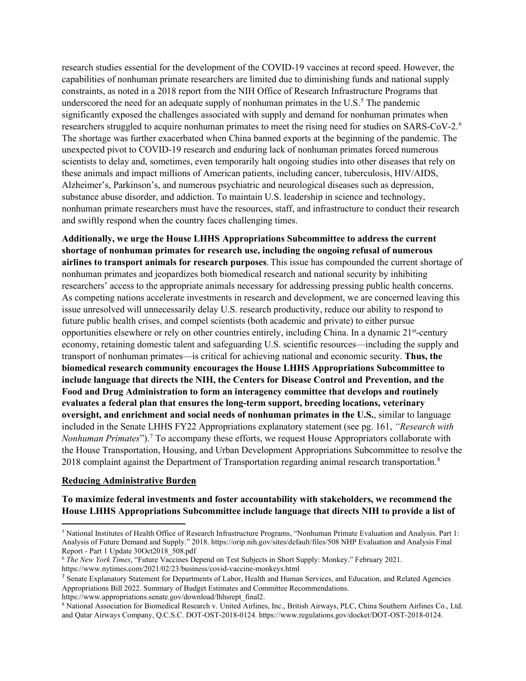research studies essential for the development of the COVID-19 vaccines at record speed. However, the capabilities of nonhuman primate researchers are limited due to diminishing funds and national supply constraints, as noted in a 2018 report from the NIH Office of Research Infrastructure Programs that underscored the need for an adequate supply of nonhuman primates in the  $U.S.^5$  $U.S.^5$  The pandemic significantly exposed the challenges associated with supply and demand for nonhuman primates when researchers struggled to acquire nonhuman primates to meet the rising need for studies on SARS-CoV-2.<sup>[6](#page-2-1)</sup> The shortage was further exacerbated when China banned exports at the beginning of the pandemic. The unexpected pivot to COVID-19 research and enduring lack of nonhuman primates forced numerous scientists to delay and, sometimes, even temporarily halt ongoing studies into other diseases that rely on these animals and impact millions of American patients, including cancer, tuberculosis, HIV/AIDS, Alzheimer's, Parkinson's, and numerous psychiatric and neurological diseases such as depression, substance abuse disorder, and addiction. To maintain U.S. leadership in science and technology, nonhuman primate researchers must have the resources, staff, and infrastructure to conduct their research and swiftly respond when the country faces challenging times.

**Additionally, we urge the House LHHS Appropriations Subcommittee to address the current shortage of nonhuman primates for research use, including the ongoing refusal of numerous airlines to transport animals for research purposes**.This issue has compounded the current shortage of nonhuman primates and jeopardizes both biomedical research and national security by inhibiting researchers' access to the appropriate animals necessary for addressing pressing public health concerns. As competing nations accelerate investments in research and development, we are concerned leaving this issue unresolved will unnecessarily delay U.S. research productivity, reduce our ability to respond to future public health crises, and compel scientists (both academic and private) to either pursue opportunities elsewhere or rely on other countries entirely, including China. In a dynamic 21st-century economy, retaining domestic talent and safeguarding U.S. scientific resources—including the supply and transport of nonhuman primates—is critical for achieving national and economic security. **Thus, the biomedical research community encourages the House LHHS Appropriations Subcommittee to include language that directs the NIH, the Centers for Disease Control and Prevention, and the Food and Drug Administration to form an interagency committee that develops and routinely evaluates a federal plan that ensures the long-term support, breeding locations, veterinary oversight, and enrichment and social needs of nonhuman primates in the U.S.**, similar to language included in the Senate LHHS FY22 Appropriations explanatory statement (see pg. 161, *"Research with Nonhuman Primates*").<sup>[7](#page-2-2)</sup> To accompany these efforts, we request House Appropriators collaborate with the House Transportation, Housing, and Urban Development Appropriations Subcommittee to resolve the 201[8](#page-2-3) complaint against the Department of Transportation regarding animal research transportation.<sup>8</sup>

## **Reducing Administrative Burden**

**To maximize federal investments and foster accountability with stakeholders, we recommend the House LHHS Appropriations Subcommittee include language that directs NIH to provide a list of** 

https://www.appropriations.senate.gov/download/lhhsrept\_final2.

<span id="page-2-0"></span><sup>5</sup> National Institutes of Health Office of Research Infrastructure Programs, "Nonhuman Primate Evaluation and Analysis. Part 1: Analysis of Future Demand and Supply." 2018. https://orip.nih.gov/sites/default/files/508 NHP Evaluation and Analysis Final Report - Part 1 Update 30Oct2018\_508.pdf

<span id="page-2-1"></span><sup>6</sup> *The New York Times*, "Future Vaccines Depend on Test Subjects in Short Supply: Monkey." February 2021. https://www.nytimes.com/2021/02/23/business/covid-vaccine-monkeys.html

<span id="page-2-2"></span><sup>&</sup>lt;sup>7</sup> Senate Explanatory Statement for Departments of Labor, Health and Human Services, and Education, and Related Agencies Appropriations Bill 2022. Summary of Budget Estimates and Committee Recommendations.

<span id="page-2-3"></span><sup>8</sup> National Association for Biomedical Research v. United Airlines, Inc., British Airways, PLC, China Southern Airlines Co., Ltd. and Qatar Airways Company, Q.C.S.C. DOT-OST-2018-0124. https://www.regulations.gov/docket/DOT-OST-2018-0124.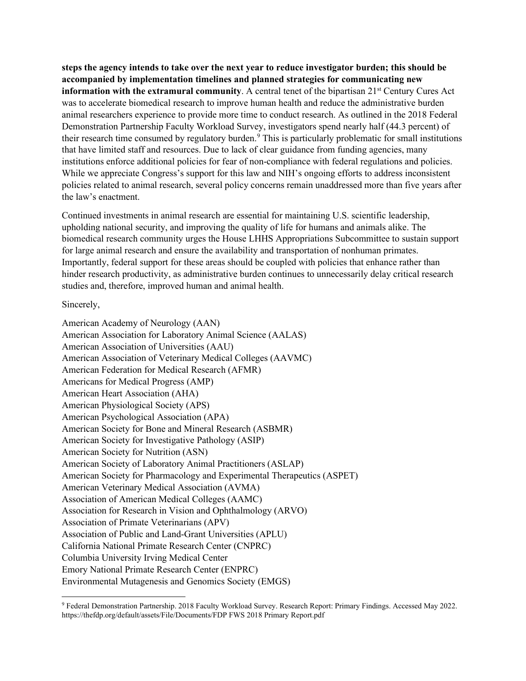**steps the agency intends to take over the next year to reduce investigator burden; this should be accompanied by implementation timelines and planned strategies for communicating new information with the extramural community**. A central tenet of the bipartisan 21<sup>st</sup> Century Cures Act was to accelerate biomedical research to improve human health and reduce the administrative burden animal researchers experience to provide more time to conduct research. As outlined in the 2018 Federal Demonstration Partnership Faculty Workload Survey, investigators spend nearly half (44.3 percent) of their research time consumed by regulatory burden.<sup>9</sup> This is particularly problematic for small institutions that have limited staff and resources. Due to lack of clear guidance from funding agencies, many institutions enforce additional policies for fear of non-compliance with federal regulations and policies. While we appreciate Congress's support for this law and NIH's ongoing efforts to address inconsistent policies related to animal research, several policy concerns remain unaddressed more than five years after the law's enactment.

Continued investments in animal research are essential for maintaining U.S. scientific leadership, upholding national security, and improving the quality of life for humans and animals alike. The biomedical research community urges the House LHHS Appropriations Subcommittee to sustain support for large animal research and ensure the availability and transportation of nonhuman primates. Importantly, federal support for these areas should be coupled with policies that enhance rather than hinder research productivity, as administrative burden continues to unnecessarily delay critical research studies and, therefore, improved human and animal health.

Sincerely,

American Academy of Neurology (AAN) American Association for Laboratory Animal Science (AALAS) American Association of Universities (AAU) American Association of Veterinary Medical Colleges (AAVMC) American Federation for Medical Research (AFMR) Americans for Medical Progress (AMP) American Heart Association (AHA) American Physiological Society (APS) American Psychological Association (APA) American Society for Bone and Mineral Research (ASBMR) American Society for Investigative Pathology (ASIP) American Society for Nutrition (ASN) American Society of Laboratory Animal Practitioners (ASLAP) American Society for Pharmacology and Experimental Therapeutics (ASPET) American Veterinary Medical Association (AVMA) Association of American Medical Colleges (AAMC) Association for Research in Vision and Ophthalmology (ARVO) Association of Primate Veterinarians (APV) Association of Public and Land-Grant Universities (APLU) California National Primate Research Center (CNPRC) Columbia University Irving Medical Center Emory National Primate Research Center (ENPRC) Environmental Mutagenesis and Genomics Society (EMGS)

<span id="page-3-0"></span><sup>9</sup> Federal Demonstration Partnership. 2018 Faculty Workload Survey. Research Report: Primary Findings. Accessed May 2022. https://thefdp.org/default/assets/File/Documents/FDP FWS 2018 Primary Report.pdf